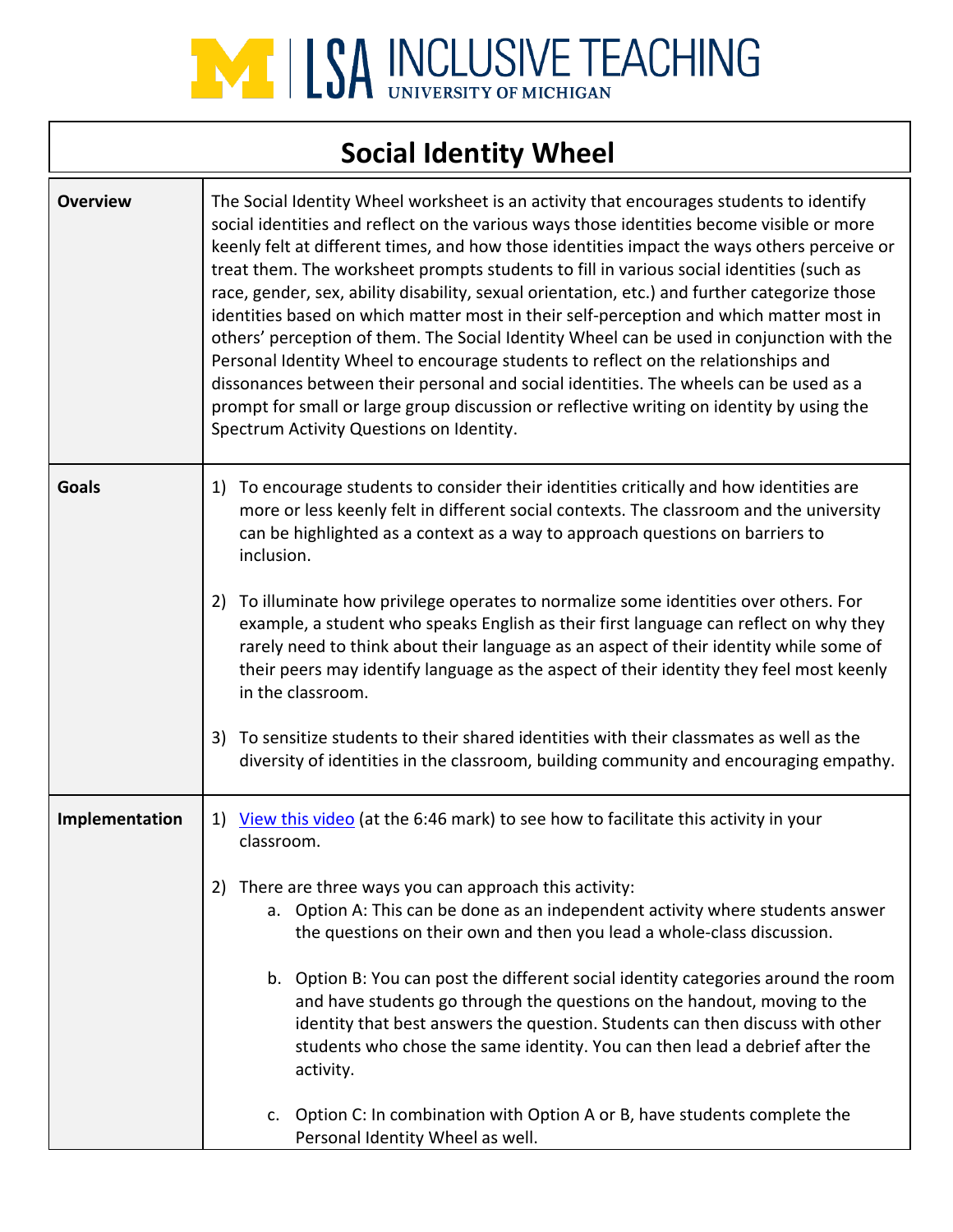

### **Social Identity Wheel**

| <b>Overview</b> | The Social Identity Wheel worksheet is an activity that encourages students to identify<br>social identities and reflect on the various ways those identities become visible or more<br>keenly felt at different times, and how those identities impact the ways others perceive or<br>treat them. The worksheet prompts students to fill in various social identities (such as<br>race, gender, sex, ability disability, sexual orientation, etc.) and further categorize those<br>identities based on which matter most in their self-perception and which matter most in<br>others' perception of them. The Social Identity Wheel can be used in conjunction with the<br>Personal Identity Wheel to encourage students to reflect on the relationships and<br>dissonances between their personal and social identities. The wheels can be used as a<br>prompt for small or large group discussion or reflective writing on identity by using the |  |  |
|-----------------|-----------------------------------------------------------------------------------------------------------------------------------------------------------------------------------------------------------------------------------------------------------------------------------------------------------------------------------------------------------------------------------------------------------------------------------------------------------------------------------------------------------------------------------------------------------------------------------------------------------------------------------------------------------------------------------------------------------------------------------------------------------------------------------------------------------------------------------------------------------------------------------------------------------------------------------------------------|--|--|
|                 | Spectrum Activity Questions on Identity.                                                                                                                                                                                                                                                                                                                                                                                                                                                                                                                                                                                                                                                                                                                                                                                                                                                                                                            |  |  |
| <b>Goals</b>    | To encourage students to consider their identities critically and how identities are<br>1)<br>more or less keenly felt in different social contexts. The classroom and the university<br>can be highlighted as a context as a way to approach questions on barriers to<br>inclusion.                                                                                                                                                                                                                                                                                                                                                                                                                                                                                                                                                                                                                                                                |  |  |
|                 | To illuminate how privilege operates to normalize some identities over others. For<br>2)<br>example, a student who speaks English as their first language can reflect on why they<br>rarely need to think about their language as an aspect of their identity while some of<br>their peers may identify language as the aspect of their identity they feel most keenly<br>in the classroom.                                                                                                                                                                                                                                                                                                                                                                                                                                                                                                                                                         |  |  |
|                 | To sensitize students to their shared identities with their classmates as well as the<br>3)<br>diversity of identities in the classroom, building community and encouraging empathy.                                                                                                                                                                                                                                                                                                                                                                                                                                                                                                                                                                                                                                                                                                                                                                |  |  |
| Implementation  | View this video (at the 6:46 mark) to see how to facilitate this activity in your<br>1)<br>classroom.                                                                                                                                                                                                                                                                                                                                                                                                                                                                                                                                                                                                                                                                                                                                                                                                                                               |  |  |
|                 | There are three ways you can approach this activity:<br>2)<br>a. Option A: This can be done as an independent activity where students answer<br>the questions on their own and then you lead a whole-class discussion.                                                                                                                                                                                                                                                                                                                                                                                                                                                                                                                                                                                                                                                                                                                              |  |  |
|                 | b. Option B: You can post the different social identity categories around the room<br>and have students go through the questions on the handout, moving to the<br>identity that best answers the question. Students can then discuss with other<br>students who chose the same identity. You can then lead a debrief after the<br>activity.                                                                                                                                                                                                                                                                                                                                                                                                                                                                                                                                                                                                         |  |  |
|                 | c. Option C: In combination with Option A or B, have students complete the<br>Personal Identity Wheel as well.                                                                                                                                                                                                                                                                                                                                                                                                                                                                                                                                                                                                                                                                                                                                                                                                                                      |  |  |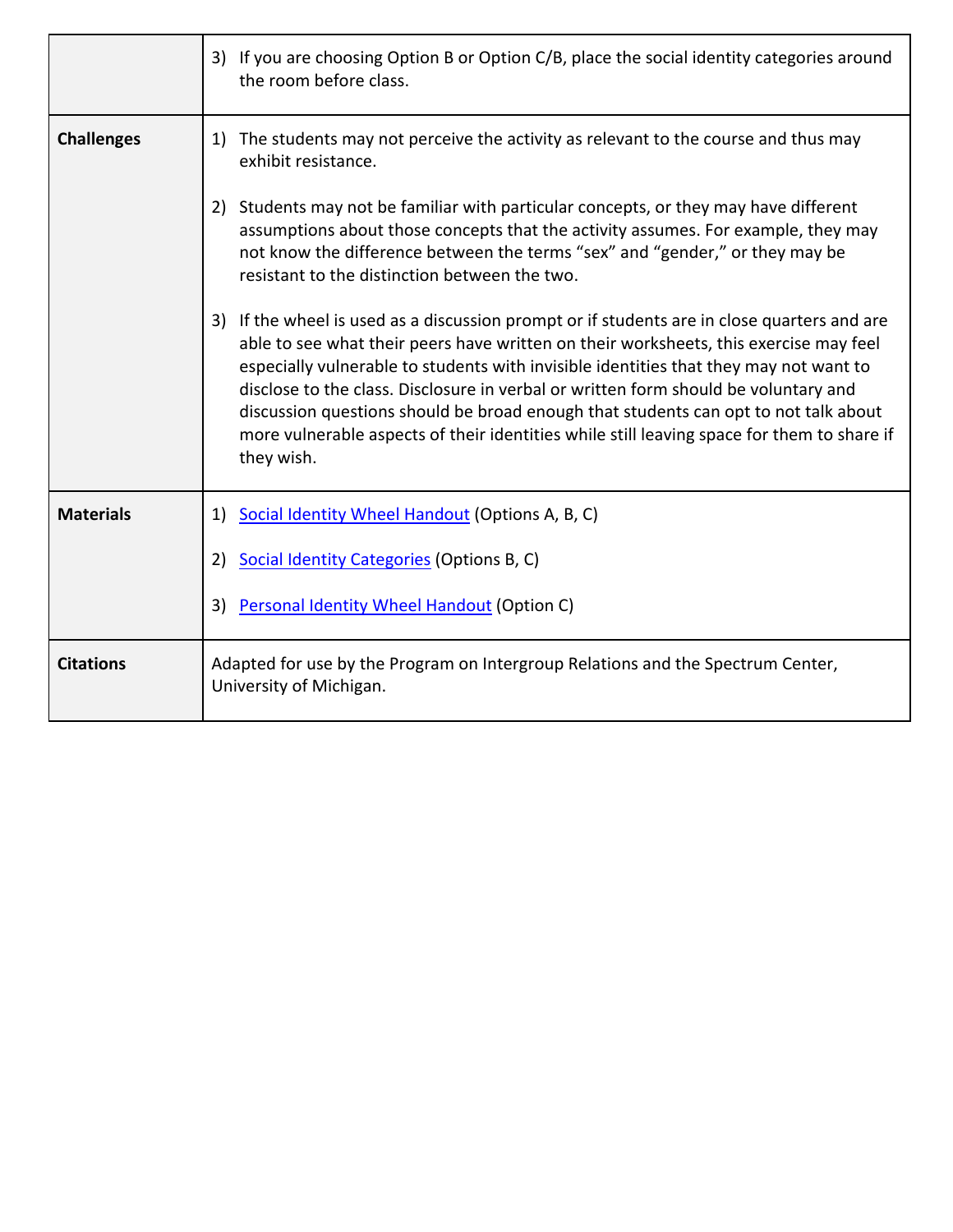|                   | 3) If you are choosing Option B or Option C/B, place the social identity categories around<br>the room before class.                                                                                                                                                                                                                                                                                                                                                                                                                                                    |
|-------------------|-------------------------------------------------------------------------------------------------------------------------------------------------------------------------------------------------------------------------------------------------------------------------------------------------------------------------------------------------------------------------------------------------------------------------------------------------------------------------------------------------------------------------------------------------------------------------|
| <b>Challenges</b> | 1) The students may not perceive the activity as relevant to the course and thus may<br>exhibit resistance.                                                                                                                                                                                                                                                                                                                                                                                                                                                             |
|                   | Students may not be familiar with particular concepts, or they may have different<br>2)<br>assumptions about those concepts that the activity assumes. For example, they may<br>not know the difference between the terms "sex" and "gender," or they may be<br>resistant to the distinction between the two.                                                                                                                                                                                                                                                           |
|                   | 3) If the wheel is used as a discussion prompt or if students are in close quarters and are<br>able to see what their peers have written on their worksheets, this exercise may feel<br>especially vulnerable to students with invisible identities that they may not want to<br>disclose to the class. Disclosure in verbal or written form should be voluntary and<br>discussion questions should be broad enough that students can opt to not talk about<br>more vulnerable aspects of their identities while still leaving space for them to share if<br>they wish. |
| <b>Materials</b>  | Social Identity Wheel Handout (Options A, B, C)<br>1)                                                                                                                                                                                                                                                                                                                                                                                                                                                                                                                   |
|                   | Social Identity Categories (Options B, C)<br>2)                                                                                                                                                                                                                                                                                                                                                                                                                                                                                                                         |
|                   | Personal Identity Wheel Handout (Option C)<br>3)                                                                                                                                                                                                                                                                                                                                                                                                                                                                                                                        |
| <b>Citations</b>  | Adapted for use by the Program on Intergroup Relations and the Spectrum Center,<br>University of Michigan.                                                                                                                                                                                                                                                                                                                                                                                                                                                              |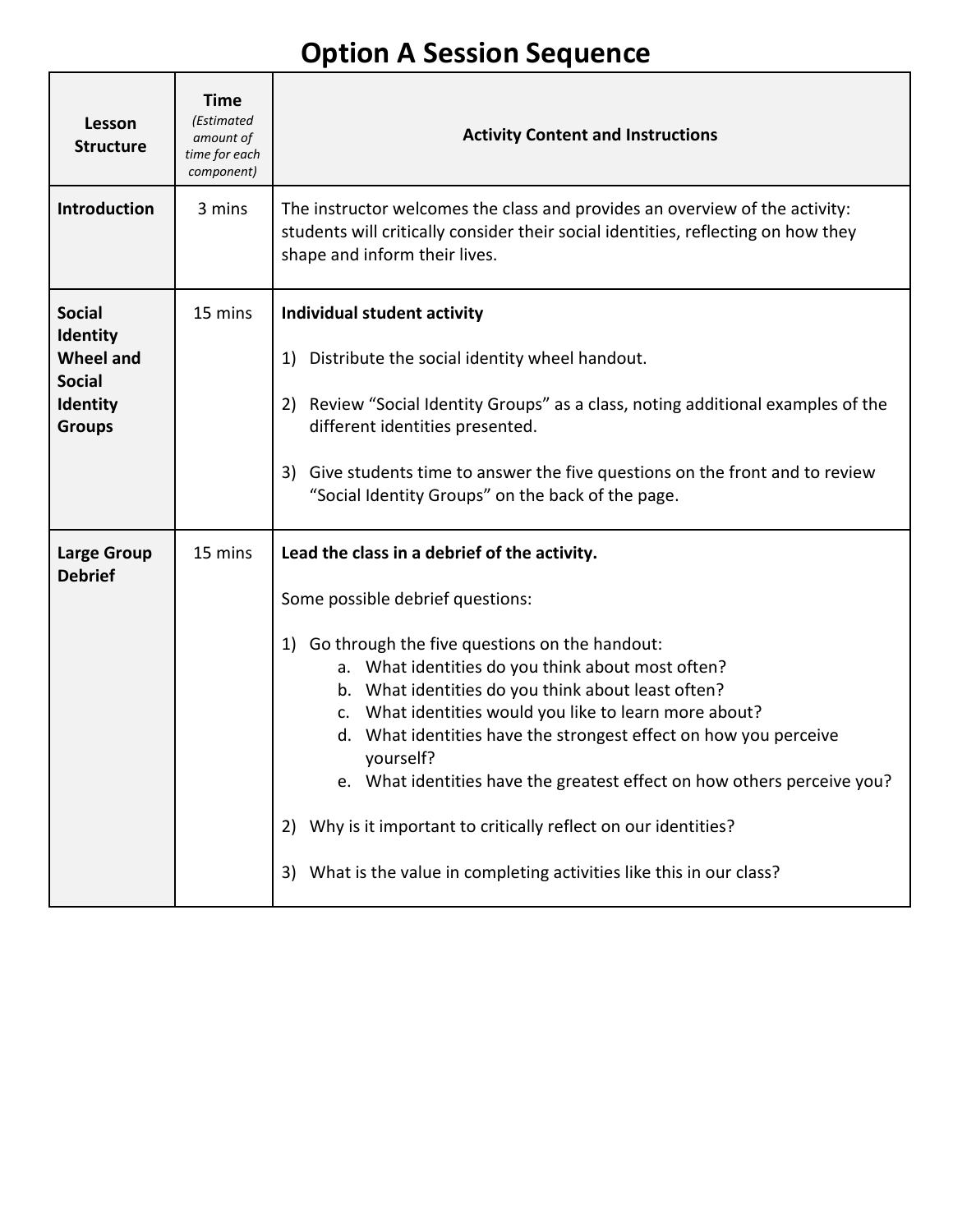## **Option A Session Sequence**

| Lesson<br><b>Structure</b>                                                                         | <b>Time</b><br>(Estimated<br>amount of<br>time for each<br>component) | <b>Activity Content and Instructions</b>                                                                                                                                                                                                                                                                                                                                                                                                                                                                                                                                                                                      |  |
|----------------------------------------------------------------------------------------------------|-----------------------------------------------------------------------|-------------------------------------------------------------------------------------------------------------------------------------------------------------------------------------------------------------------------------------------------------------------------------------------------------------------------------------------------------------------------------------------------------------------------------------------------------------------------------------------------------------------------------------------------------------------------------------------------------------------------------|--|
| Introduction                                                                                       | 3 mins                                                                | The instructor welcomes the class and provides an overview of the activity:<br>students will critically consider their social identities, reflecting on how they<br>shape and inform their lives.                                                                                                                                                                                                                                                                                                                                                                                                                             |  |
| <b>Social</b><br>Identity<br><b>Wheel and</b><br><b>Social</b><br><b>Identity</b><br><b>Groups</b> | 15 mins                                                               | Individual student activity<br>Distribute the social identity wheel handout.<br>1)<br>Review "Social Identity Groups" as a class, noting additional examples of the<br>2)<br>different identities presented.<br>Give students time to answer the five questions on the front and to review<br>3)<br>"Social Identity Groups" on the back of the page.                                                                                                                                                                                                                                                                         |  |
| <b>Large Group</b><br><b>Debrief</b>                                                               | 15 mins                                                               | Lead the class in a debrief of the activity.<br>Some possible debrief questions:<br>Go through the five questions on the handout:<br>1)<br>a. What identities do you think about most often?<br>b. What identities do you think about least often?<br>c. What identities would you like to learn more about?<br>What identities have the strongest effect on how you perceive<br>d.<br>yourself?<br>e. What identities have the greatest effect on how others perceive you?<br>Why is it important to critically reflect on our identities?<br>2)<br>What is the value in completing activities like this in our class?<br>3) |  |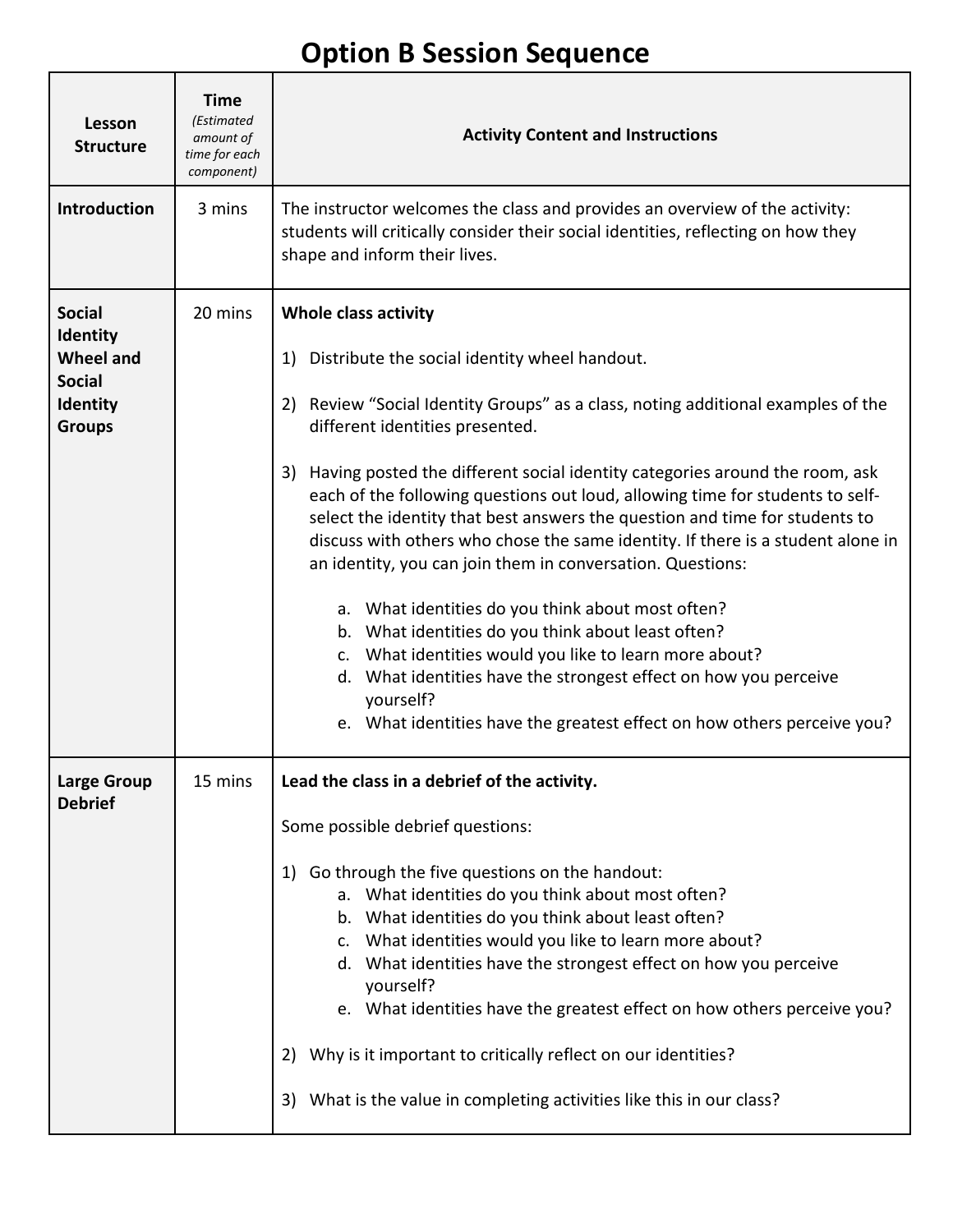## **Option B Session Sequence**

| Lesson<br><b>Structure</b>                                                                         | <b>Time</b><br>(Estimated<br>amount of<br>time for each<br>component) | <b>Activity Content and Instructions</b>                                                                                                                                                                                                                                                                                                                                                                                                                                                                                                                                                                                                                                                                                                                                                                                                                                                                                                            |  |  |  |
|----------------------------------------------------------------------------------------------------|-----------------------------------------------------------------------|-----------------------------------------------------------------------------------------------------------------------------------------------------------------------------------------------------------------------------------------------------------------------------------------------------------------------------------------------------------------------------------------------------------------------------------------------------------------------------------------------------------------------------------------------------------------------------------------------------------------------------------------------------------------------------------------------------------------------------------------------------------------------------------------------------------------------------------------------------------------------------------------------------------------------------------------------------|--|--|--|
| Introduction                                                                                       | 3 mins                                                                | The instructor welcomes the class and provides an overview of the activity:<br>students will critically consider their social identities, reflecting on how they<br>shape and inform their lives.                                                                                                                                                                                                                                                                                                                                                                                                                                                                                                                                                                                                                                                                                                                                                   |  |  |  |
| <b>Social</b><br><b>Identity</b><br><b>Wheel and</b><br><b>Social</b><br>Identity<br><b>Groups</b> | 20 mins                                                               | <b>Whole class activity</b><br>Distribute the social identity wheel handout.<br>1)<br>Review "Social Identity Groups" as a class, noting additional examples of the<br>2)<br>different identities presented.<br>Having posted the different social identity categories around the room, ask<br>3)<br>each of the following questions out loud, allowing time for students to self-<br>select the identity that best answers the question and time for students to<br>discuss with others who chose the same identity. If there is a student alone in<br>an identity, you can join them in conversation. Questions:<br>a. What identities do you think about most often?<br>b. What identities do you think about least often?<br>c. What identities would you like to learn more about?<br>d. What identities have the strongest effect on how you perceive<br>yourself?<br>e. What identities have the greatest effect on how others perceive you? |  |  |  |
| Large Group<br><b>Debrief</b>                                                                      | 15 mins                                                               | Lead the class in a debrief of the activity.<br>Some possible debrief questions:<br>Go through the five questions on the handout:<br>1)<br>a. What identities do you think about most often?<br>b. What identities do you think about least often?<br>c. What identities would you like to learn more about?<br>d. What identities have the strongest effect on how you perceive<br>yourself?<br>e. What identities have the greatest effect on how others perceive you?<br>Why is it important to critically reflect on our identities?<br>2)<br>What is the value in completing activities like this in our class?<br>3)                                                                                                                                                                                                                                                                                                                          |  |  |  |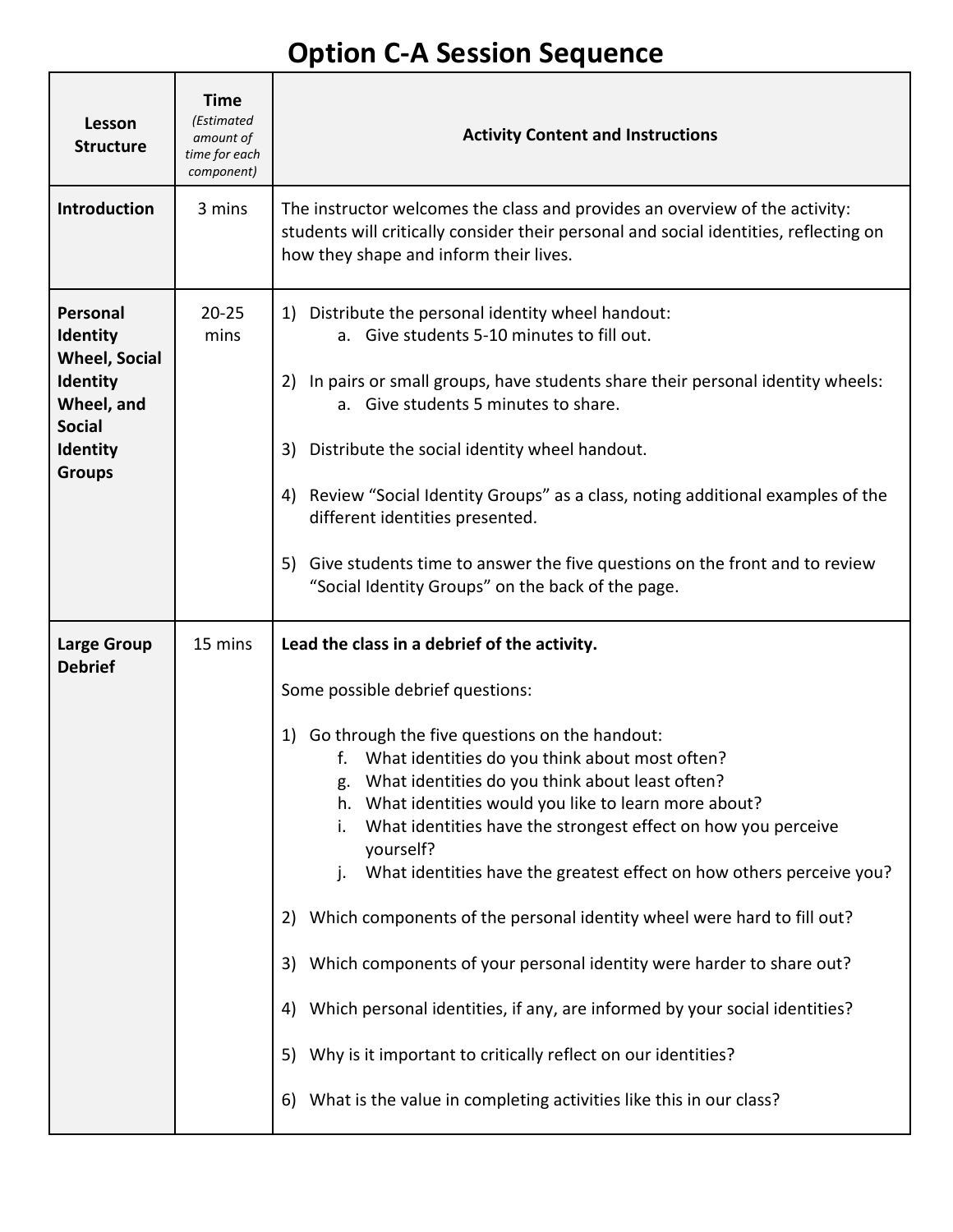# **Option C-A Session Sequence**

٦

 $\mathsf{r}$ 

| Lesson<br><b>Structure</b>                                                                                                         | <b>Time</b><br>(Estimated<br>amount of<br>time for each<br>component) | <b>Activity Content and Instructions</b>                                                                                                                                                                                                                                                                                                                                                                                                                                                                                                                                                                                                                                                                                                                                                                                                                                              |
|------------------------------------------------------------------------------------------------------------------------------------|-----------------------------------------------------------------------|---------------------------------------------------------------------------------------------------------------------------------------------------------------------------------------------------------------------------------------------------------------------------------------------------------------------------------------------------------------------------------------------------------------------------------------------------------------------------------------------------------------------------------------------------------------------------------------------------------------------------------------------------------------------------------------------------------------------------------------------------------------------------------------------------------------------------------------------------------------------------------------|
| <b>Introduction</b>                                                                                                                | 3 mins                                                                | The instructor welcomes the class and provides an overview of the activity:<br>students will critically consider their personal and social identities, reflecting on<br>how they shape and inform their lives.                                                                                                                                                                                                                                                                                                                                                                                                                                                                                                                                                                                                                                                                        |
| Personal<br><b>Identity</b><br><b>Wheel, Social</b><br><b>Identity</b><br>Wheel, and<br><b>Social</b><br>Identity<br><b>Groups</b> | $20 - 25$<br>mins                                                     | Distribute the personal identity wheel handout:<br>1)<br>a. Give students 5-10 minutes to fill out.<br>In pairs or small groups, have students share their personal identity wheels:<br>2)<br>a. Give students 5 minutes to share.<br>Distribute the social identity wheel handout.<br>3)<br>Review "Social Identity Groups" as a class, noting additional examples of the<br>4)<br>different identities presented.<br>5) Give students time to answer the five questions on the front and to review<br>"Social Identity Groups" on the back of the page.                                                                                                                                                                                                                                                                                                                             |
| <b>Large Group</b><br><b>Debrief</b>                                                                                               | 15 mins                                                               | Lead the class in a debrief of the activity.<br>Some possible debrief questions:<br>Go through the five questions on the handout:<br>1)<br>What identities do you think about most often?<br>f.<br>What identities do you think about least often?<br>What identities would you like to learn more about?<br>h.<br>What identities have the strongest effect on how you perceive<br>i.<br>yourself?<br>What identities have the greatest effect on how others perceive you?<br>j.<br>Which components of the personal identity wheel were hard to fill out?<br>2)<br>Which components of your personal identity were harder to share out?<br>3)<br>Which personal identities, if any, are informed by your social identities?<br>4)<br>Why is it important to critically reflect on our identities?<br>5)<br>What is the value in completing activities like this in our class?<br>6) |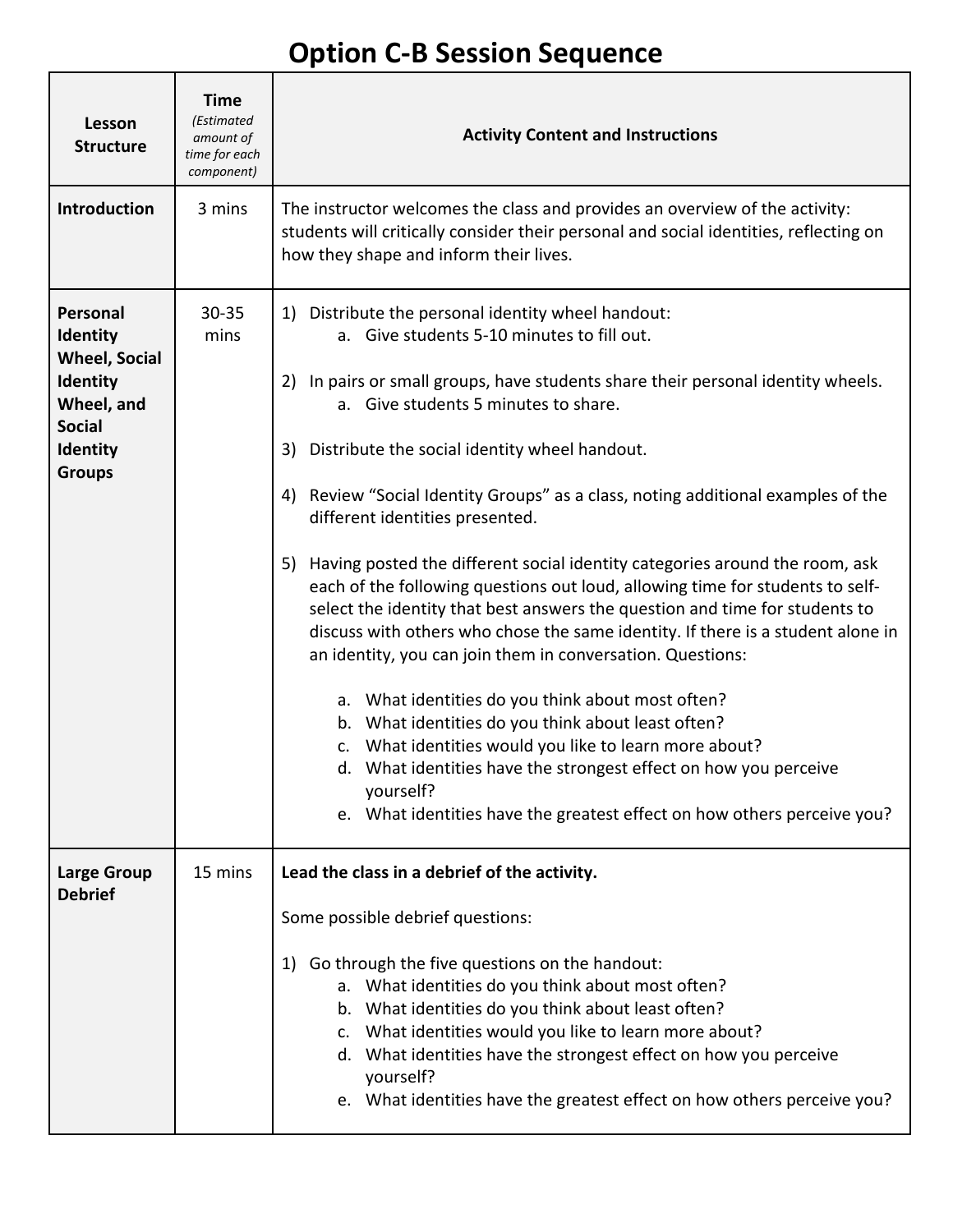## **Option C-B Session Sequence**

| Lesson<br><b>Structure</b>                                                                                                         | <b>Time</b><br>(Estimated<br>amount of<br>time for each<br>component) | <b>Activity Content and Instructions</b>                                                                                                                                                                                                                                                                                                                                                                                                                                                                                                                                                                                                                                                                                                                                                                                                                                                                                                                                                                                                                                                                                                                   |  |  |
|------------------------------------------------------------------------------------------------------------------------------------|-----------------------------------------------------------------------|------------------------------------------------------------------------------------------------------------------------------------------------------------------------------------------------------------------------------------------------------------------------------------------------------------------------------------------------------------------------------------------------------------------------------------------------------------------------------------------------------------------------------------------------------------------------------------------------------------------------------------------------------------------------------------------------------------------------------------------------------------------------------------------------------------------------------------------------------------------------------------------------------------------------------------------------------------------------------------------------------------------------------------------------------------------------------------------------------------------------------------------------------------|--|--|
| <b>Introduction</b>                                                                                                                | 3 mins                                                                | The instructor welcomes the class and provides an overview of the activity:<br>students will critically consider their personal and social identities, reflecting on<br>how they shape and inform their lives.                                                                                                                                                                                                                                                                                                                                                                                                                                                                                                                                                                                                                                                                                                                                                                                                                                                                                                                                             |  |  |
| Personal<br><b>Identity</b><br><b>Wheel, Social</b><br>Identity<br>Wheel, and<br><b>Social</b><br><b>Identity</b><br><b>Groups</b> | $30 - 35$<br>mins                                                     | 1) Distribute the personal identity wheel handout:<br>a. Give students 5-10 minutes to fill out.<br>In pairs or small groups, have students share their personal identity wheels.<br>2)<br>a. Give students 5 minutes to share.<br>Distribute the social identity wheel handout.<br>3)<br>Review "Social Identity Groups" as a class, noting additional examples of the<br>4)<br>different identities presented.<br>Having posted the different social identity categories around the room, ask<br>5)<br>each of the following questions out loud, allowing time for students to self-<br>select the identity that best answers the question and time for students to<br>discuss with others who chose the same identity. If there is a student alone in<br>an identity, you can join them in conversation. Questions:<br>a. What identities do you think about most often?<br>b. What identities do you think about least often?<br>What identities would you like to learn more about?<br>c.<br>d. What identities have the strongest effect on how you perceive<br>yourself?<br>e. What identities have the greatest effect on how others perceive you? |  |  |
| <b>Large Group</b><br><b>Debrief</b>                                                                                               | 15 mins                                                               | Lead the class in a debrief of the activity.<br>Some possible debrief questions:<br>Go through the five questions on the handout:<br>1)<br>a. What identities do you think about most often?<br>b. What identities do you think about least often?<br>c. What identities would you like to learn more about?<br>d. What identities have the strongest effect on how you perceive<br>yourself?<br>e. What identities have the greatest effect on how others perceive you?                                                                                                                                                                                                                                                                                                                                                                                                                                                                                                                                                                                                                                                                                   |  |  |